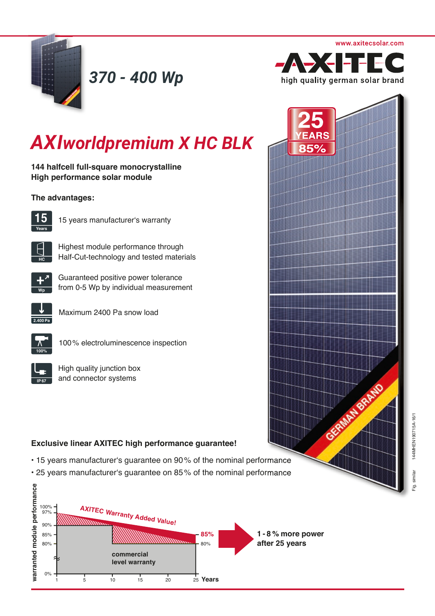

*370 - 400 Wp*



# *AXIworldpremium X HC BLK*

**144 halfcell full-square monocrystalline High performance solar module** 

### **The advantages:**



15 years manufacturer's warranty



Highest module performance through Half-Cut-technology and tested materials



Guaranteed positive power tolerance from 0-5 Wp by individual measurement



Maximum 2400 Pa snow load



100 % electroluminescence inspection



High quality junction box and connector systems

## **Exclusive linear AXITEC high performance guarantee!**

- 15 years manufacturer's guarantee on 90 % of the nominal performance
- 25 years manufacturer's guarantee on 85 % of the nominal performance



GRANDFORMADO